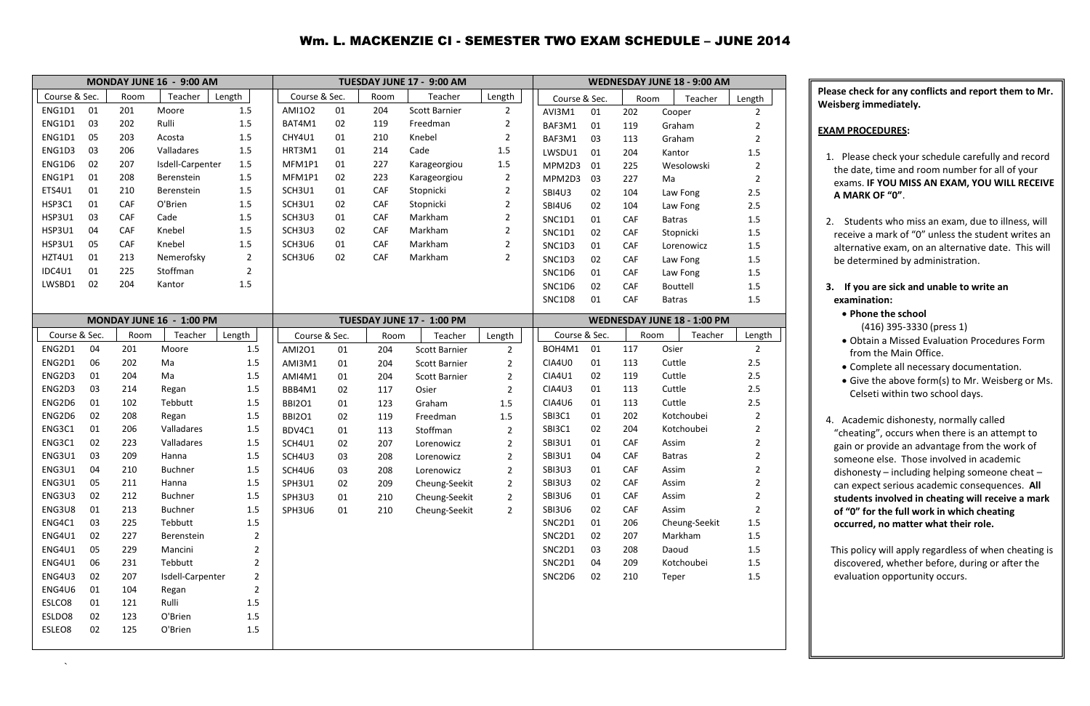## Wm. L. MACKENZIE CI - SEMESTER TWO EXAM SCHEDULE – JUNE 2014

`

|               |    |            | MONDAY JUNE 16 - 9:00 AM |                |               |    |            | TUESDAY JUNE 17 - 9:00 AM |                |                     |            |      | <b>WEDNESDAY JUNE 18 - 9:00 AM</b> |                |
|---------------|----|------------|--------------------------|----------------|---------------|----|------------|---------------------------|----------------|---------------------|------------|------|------------------------------------|----------------|
| Course & Sec. |    | Room       | Teacher                  | Length         | Course & Sec. |    | Room       | Teacher                   | Length         | Course & Sec.       |            | Room | Teacher                            | Length         |
| ENG1D1        | 01 | 201        | Moore                    | 1.5            | <b>AMI102</b> | 01 | 204        | <b>Scott Barnier</b>      | $2^{\circ}$    | AVI3M1<br>01        | 202        |      | Cooper                             | $\overline{2}$ |
| ENG1D1        | 03 | 202        | Rulli                    | 1.5            | BAT4M1        | 02 | 119        | Freedman                  | $\overline{2}$ | BAF3M1<br>01        | 119        |      | Graham                             | $\overline{2}$ |
| ENG1D1        | 05 | 203        | Acosta                   | 1.5            | CHY4U1        | 01 | 210        | Knebel                    | $\overline{2}$ | BAF3M1<br>03        | 113        |      | Graham                             | $\overline{2}$ |
| ENG1D3        | 03 | 206        | Valladares               | 1.5            | HRT3M1        | 01 | 214        | Cade                      | 1.5            | LWSDU1<br>01        | 204        |      | Kantor                             | 1.5            |
| ENG1D6        | 02 | 207        | Isdell-Carpenter         | 1.5            | MFM1P1        | 01 | 227        | Karageorgiou              | 1.5            | MPM2D3<br>01        | 225        |      | Wesolowski                         | $\overline{2}$ |
| ENG1P1        | 01 | 208        | Berenstein               | 1.5            | MFM1P1        | 02 | 223        | Karageorgiou              | $\overline{2}$ | MPM2D3<br>03        | 227        | Ma   |                                    | $\overline{2}$ |
| ETS4U1        | 01 | 210        | Berenstein               | 1.5            | SCH3U1        | 01 | CAF        | Stopnicki                 | $\overline{2}$ | <b>SBI4U3</b><br>02 | 104        |      | Law Fong                           | 2.5            |
| HSP3C1        | 01 | CAF        | O'Brien                  | 1.5            | SCH3U1        | 02 | CAF        | Stopnicki                 | $\overline{2}$ | <b>SBI4U6</b><br>02 | 104        |      | Law Fong                           | 2.5            |
| HSP3U1        | 03 | <b>CAF</b> | Cade                     | 1.5            | SCH3U3        | 01 | CAF        | Markham                   | $\overline{2}$ | <b>SNC1D1</b><br>01 | CAF        |      | <b>Batras</b>                      | 1.5            |
| <b>HSP3U1</b> | 04 | CAF        | Knebel                   | 1.5            | SCH3U3        | 02 | CAF        | Markham                   | $\overline{2}$ | <b>SNC1D1</b><br>02 | CAF        |      | Stopnicki                          | 1.5            |
| HSP3U1        | 05 | CAF        | Knebel                   | 1.5            | SCH3U6        | 01 | <b>CAF</b> | Markham                   | $\overline{2}$ | SNC1D3<br>01        | CAF        |      | Lorenowicz                         | 1.5            |
| HZT4U1        | 01 | 213        | Nemerofsky               | $\overline{2}$ | SCH3U6        | 02 | CAF        | Markham                   | $\overline{2}$ | SNC1D3<br>02        | CAF        |      | Law Fong                           | 1.5            |
| IDC4U1        | 01 | 225        | Stoffman                 | $\overline{2}$ |               |    |            |                           |                | SNC1D6<br>01        | CAF        |      | Law Fong                           | 1.5            |
| LWSBD1        | 02 | 204        | Kantor                   | 1.5            |               |    |            |                           |                | SNC1D6<br>02        | CAF        |      | Bouttell                           | 1.5            |
|               |    |            |                          |                |               |    |            |                           |                | 01<br>SNC1D8        | CAF        |      | <b>Batras</b>                      | 1.5            |
|               |    |            | MONDAY JUNE 16 - 1:00 PM |                |               |    |            | TUESDAY JUNE 17 - 1:00 PM |                |                     |            |      | <b>WEDNESDAY JUNE 18 - 1:00 PM</b> |                |
| Course & Sec. |    | Room       | Teacher                  | Length         | Course & Sec. |    | Room       | Teacher                   | Length         | Course & Sec.       |            | Room | Teacher                            | Length         |
| ENG2D1        | 04 | 201        | Moore                    | 1.5            | <b>AMI201</b> | 01 | 204        | <b>Scott Barnier</b>      | $\overline{2}$ | BOH4M1<br>01        | 117        |      | Osier                              | $\overline{2}$ |
| ENG2D1        | 06 | 202        | Ma                       | 1.5            | AMI3M1        | 01 | 204        | <b>Scott Barnier</b>      | $\overline{2}$ | 01<br>CIA4U0        | 113        |      | Cuttle                             | 2.5            |
| ENG2D3        | 01 | 204        | Ma                       | 1.5            | AMI4M1        | 01 | 204        | <b>Scott Barnier</b>      | $\overline{2}$ | <b>CIA4U1</b><br>02 | 119        |      | Cuttle                             | 2.5            |
| ENG2D3        | 03 | 214        | Regan                    | 1.5            | BBB4M1        | 02 | 117        | Osier                     | $\overline{2}$ | CIA4U3<br>01        | 113        |      | Cuttle                             | 2.5            |
| ENG2D6        | 01 | 102        | Tebbutt                  | 1.5            | <b>BBI2O1</b> | 01 | 123        | Graham                    | 1.5            | CIA4U6<br>01        | 113        |      | Cuttle                             | 2.5            |
| ENG2D6        | 02 | 208        | Regan                    | 1.5            | <b>BBI2O1</b> | 02 | 119        | Freedman                  | 1.5            | SBI3C1<br>01        | 202        |      | Kotchoubei                         | $\overline{2}$ |
| ENG3C1        | 01 | 206        | Valladares               | 1.5            | BDV4C1        | 01 | 113        | Stoffman                  | $\overline{2}$ | SBI3C1<br>02        | 204        |      | Kotchoubei                         | 2              |
| ENG3C1        | 02 | 223        | Valladares               | 1.5            | SCH4U1        | 02 | 207        | Lorenowicz                | $\overline{2}$ | <b>SBI3U1</b><br>01 | <b>CAF</b> |      | Assim                              | $\overline{2}$ |
| ENG3U1        | 03 | 209        | Hanna                    | 1.5            | SCH4U3        | 03 | 208        | Lorenowicz                | $\overline{2}$ | <b>SBI3U1</b><br>04 | CAF        |      | <b>Batras</b>                      | 2              |
| ENG3U1        | 04 | 210        | <b>Buchner</b>           | 1.5            | SCH4U6        | 03 | 208        | Lorenowicz                | $\overline{2}$ | <b>SBI3U3</b><br>01 | <b>CAF</b> |      | Assim                              | $\overline{2}$ |
| ENG3U1        | 05 | 211        | Hanna                    | 1.5            | SPH3U1        | 02 | 209        | Cheung-Seekit             | $\overline{2}$ | <b>SBI3U3</b><br>02 | CAF        |      | Assim                              | $\overline{2}$ |
| ENG3U3        | 02 | 212        | <b>Buchner</b>           | 1.5            | SPH3U3        | 01 | 210        | Cheung-Seekit             | $\overline{2}$ | SBI3U6<br>01        | CAF        |      | Assim                              | $\overline{2}$ |
| ENG3U8        | 01 | 213        | <b>Buchner</b>           | 1.5            | SPH3U6        | 01 | 210        | Cheung-Seekit             | $\overline{2}$ | SBI3U6<br>02        | CAF        |      | Assim                              | $\overline{2}$ |
| ENG4C1        | 03 | 225        | Tebbutt                  | 1.5            |               |    |            |                           |                | SNC2D1<br>01        | 206        |      | Cheung-Seekit                      | $1.5\,$        |
| ENG4U1        | 02 | 227        | Berenstein               | $\overline{2}$ |               |    |            |                           |                | SNC2D1<br>02        | 207        |      | Markham                            | $1.5$          |
| ENG4U1        | 05 | 229        | Mancini                  | $\overline{2}$ |               |    |            |                           |                | SNC2D1<br>03        | 208        |      | Daoud                              | 1.5            |
| ENG4U1        | 06 | 231        | Tebbutt                  | $\overline{2}$ |               |    |            |                           |                | SNC2D1<br>04        | 209        |      | Kotchoubei                         | $1.5\,$        |
| ENG4U3        | 02 | 207        | Isdell-Carpenter         | $\overline{2}$ |               |    |            |                           |                | SNC2D6<br>02        | 210        |      | Teper                              | $1.5\,$        |
| ENG4U6        | 01 | 104        | Regan                    | $\overline{2}$ |               |    |            |                           |                |                     |            |      |                                    |                |
| ESLCO8        | 01 | 121        | Rulli                    | 1.5            |               |    |            |                           |                |                     |            |      |                                    |                |
| ESLDO8        | 02 | 123        | O'Brien                  | 1.5            |               |    |            |                           |                |                     |            |      |                                    |                |
| ESLEO8        | 02 | 125        | O'Brien                  | 1.5            |               |    |            |                           |                |                     |            |      |                                    |                |
|               |    |            |                          |                |               |    |            |                           |                |                     |            |      |                                    |                |

**Please check for any conflicts and report them to Mr. Weisberg immediately.**

## **EXAM PROCEDURES:**

- 1. Please check your schedule carefully and record the date, time and room number for all of your exams. **IF YOU MISS AN EXAM, YOU WILL RECEIVE A MARK OF "0"**.
- 2. Students who miss an exam, due to illness, will receive a mark of "0" unless the student writes an alternative exam, on an alternative date. This will be determined by administration.
- **3. If you are sick and unable to write an examination:**
	- **Phone the school**
		- (416) 395-3330 (press 1)
	- Obtain a Missed Evaluation Procedures Form from the Main Office.
	- Complete all necessary documentation.
	- Give the above form(s) to Mr. Weisberg or Ms. Celseti within two school days.
- 4. Academic dishonesty, normally called "cheating", occurs when there is an attempt to gain or provide an advantage from the work of someone else. Those involved in academic dishonesty – including helping someone cheat – can expect serious academic consequences. **All students involved in cheating will receive a mark of "0" for the full work in which cheating occurred, no matter what their role.**

 This policy will apply regardless of when cheating is discovered, whether before, during or after the evaluation opportunity occurs.